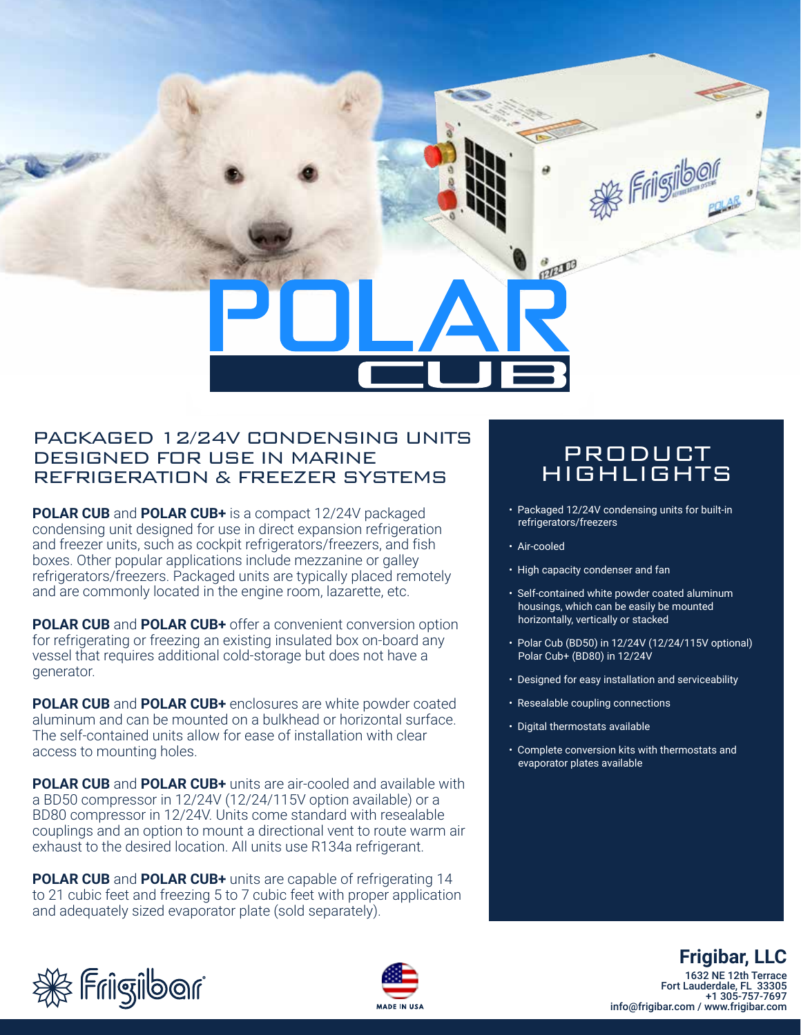**BELLE** Lorem ipsum

#### PACKAGED 12/24V CONDENSING UNITS DESIGNED FOR USE IN MARINE REFRIGERATION & FREEZER SYSTEMS

**POLAR CUB** and **POLAR CUB+** is a compact 12/24V packaged condensing unit designed for use in direct expansion refrigeration and freezer units, such as cockpit refrigerators/freezers, and fish boxes. Other popular applications include mezzanine or galley refrigerators/freezers. Packaged units are typically placed remotely and are commonly located in the engine room, lazarette, etc.

**POLAR CUB** and **POLAR CUB+** offer a convenient conversion option for refrigerating or freezing an existing insulated box on-board any vessel that requires additional cold-storage but does not have a generator.

**POLAR CUB** and **POLAR CUB+** enclosures are white powder coated aluminum and can be mounted on a bulkhead or horizontal surface. The self-contained units allow for ease of installation with clear access to mounting holes.

**POLAR CUB** and **POLAR CUB+** units are air-cooled and available with a BD50 compressor in 12/24V (12/24/115V option available) or a BD80 compressor in 12/24V. Units come standard with resealable couplings and an option to mount a directional vent to route warm air exhaust to the desired location. All units use R134a refrigerant.

**POLAR CUB** and **POLAR CUB+** units are capable of refrigerating 14 to 21 cubic feet and freezing 5 to 7 cubic feet with proper application and adequately sized evaporator plate (sold separately).

## PRODUCT HIGHLIGHTS

**As Frigibor** 

- Packaged 12/24V condensing units for built-in refrigerators/freezers
- Air-cooled
- High capacity condenser and fan
- Self-contained white powder coated aluminum housings, which can be easily be mounted horizontally, vertically or stacked
- Polar Cub (BD50) in 12/24V (12/24/115V optional) Polar Cub+ (BD80) in 12/24V
- Designed for easy installation and serviceability
- Resealable coupling connections
- Digital thermostats available
- Complete conversion kits with thermostats and evaporator plates available





# **Frigibar, LLC**

1632 NE 12th Terrace Fort Lauderdale, FL 33305 +1 305-757-7697 info@frigibar.com / www.frigibar.com